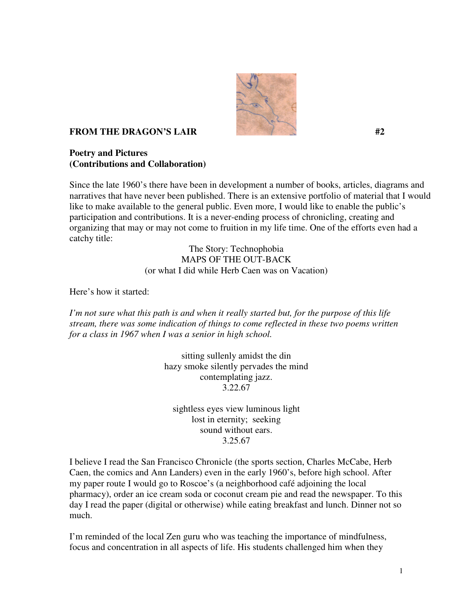

## **FROM THE DRAGON'S LAIR #2**  $#2$

**Poetry and Pictures (Contributions and Collaboration)** 

Since the late 1960's there have been in development a number of books, articles, diagrams and narratives that have never been published. There is an extensive portfolio of material that I would like to make available to the general public. Even more, I would like to enable the public's participation and contributions. It is a never-ending process of chronicling, creating and organizing that may or may not come to fruition in my life time. One of the efforts even had a catchy title:

> The Story: Technophobia MAPS OF THE OUT-BACK (or what I did while Herb Caen was on Vacation)

Here's how it started:

*I'm not sure what this path is and when it really started but, for the purpose of this life stream, there was some indication of things to come reflected in these two poems written for a class in 1967 when I was a senior in high school.* 

> sitting sullenly amidst the din hazy smoke silently pervades the mind contemplating jazz. 3.22.67

sightless eyes view luminous light lost in eternity; seeking sound without ears. 3.25.67

I believe I read the San Francisco Chronicle (the sports section, Charles McCabe, Herb Caen, the comics and Ann Landers) even in the early 1960's, before high school. After my paper route I would go to Roscoe's (a neighborhood café adjoining the local pharmacy), order an ice cream soda or coconut cream pie and read the newspaper. To this day I read the paper (digital or otherwise) while eating breakfast and lunch. Dinner not so much.

I'm reminded of the local Zen guru who was teaching the importance of mindfulness, focus and concentration in all aspects of life. His students challenged him when they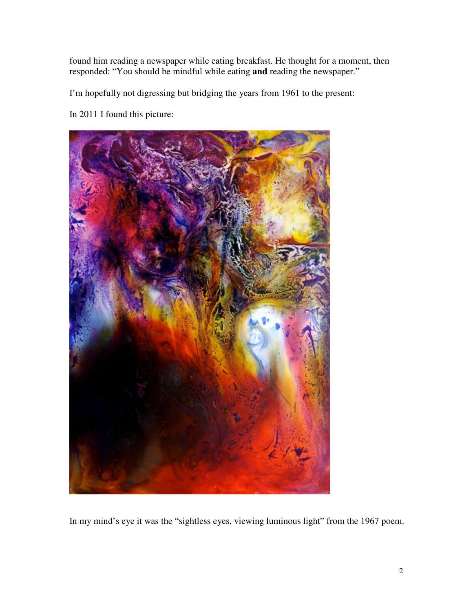found him reading a newspaper while eating breakfast. He thought for a moment, then responded: "You should be mindful while eating **and** reading the newspaper."

I'm hopefully not digressing but bridging the years from 1961 to the present:

In 2011 I found this picture:



In my mind's eye it was the "sightless eyes, viewing luminous light" from the 1967 poem.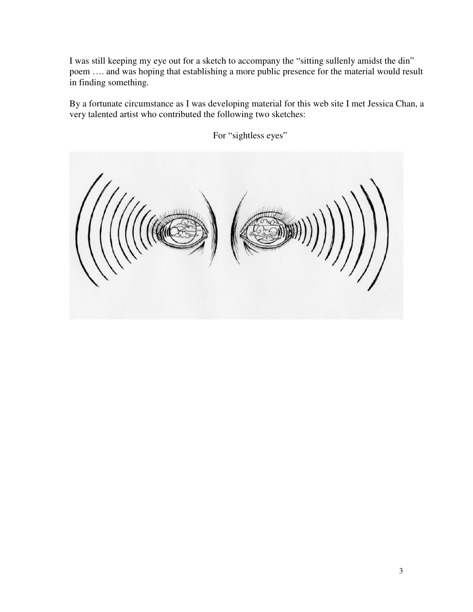I was still keeping my eye out for a sketch to accompany the "sitting sullenly amidst the din" poem …. and was hoping that establishing a more public presence for the material would result in finding something.

By a fortunate circumstance as I was developing material for this web site I met Jessica Chan, a very talented artist who contributed the following two sketches:



For "sightless eyes"